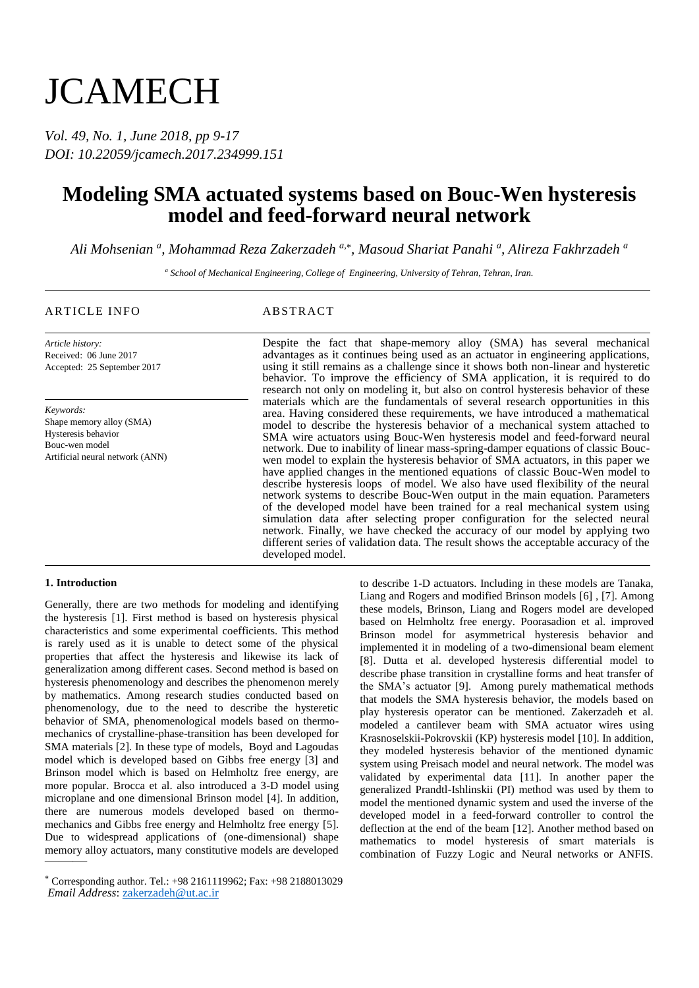# **JCAMECH**

*Vol. 49, No. 1, June 2018, pp 9-17 DOI: 10.22059/jcamech.2017.234999.151*

# **Modeling SMA actuated systems based on Bouc-Wen hysteresis model and feed-forward neural network**

*Ali Mohsenian <sup>a</sup> , Mohammad Reza Zakerzadeh a, , Masoud Shariat Panahi <sup>a</sup> , Alireza Fakhrzadeh <sup>a</sup>*

*<sup>a</sup> School of Mechanical Engineering, College of Engineering, University of Tehran, Tehran, Iran.*

# ARTICLE INFO ABSTRACT

*Article history:* Received: 06 June 2017 Accepted: 25 September 2017

*Keywords:* Shape memory alloy (SMA) Hysteresis behavior Bouc-wen model Artificial neural network (ANN) Despite the fact that shape-memory alloy (SMA) has several mechanical advantages as it continues being used as an actuator in engineering applications, using it still remains as a challenge since it shows both non-linear and hysteretic behavior. To improve the efficiency of SMA application, it is required to do research not only on modeling it, but also on control hysteresis behavior of these materials which are the fundamentals of several research opportunities in this area. Having considered these requirements, we have introduced a mathematical model to describe the hysteresis behavior of a mechanical system attached to SMA wire actuators using Bouc-Wen hysteresis model and feed-forward neural network. Due to inability of linear mass-spring-damper equations of classic Boucwen model to explain the hysteresis behavior of SMA actuators, in this paper we have applied changes in the mentioned equations of classic Bouc-Wen model to describe hysteresis loops of model. We also have used flexibility of the neural network systems to describe Bouc-Wen output in the main equation. Parameters of the developed model have been trained for a real mechanical system using simulation data after selecting proper configuration for the selected neural network. Finally, we have checked the accuracy of our model by applying two different series of validation data. The result shows the acceptable accuracy of the developed model.

# **1. Introduction**

memory alloy actuators, many constitutive models are developed Generally, there are two methods for modeling and identifying the hysteresis [1]. First method is based on hysteresis physical characteristics and some experimental coefficients. This method is rarely used as it is unable to detect some of the physical properties that affect the hysteresis and likewise its lack of generalization among different cases. Second method is based on hysteresis phenomenology and describes the phenomenon merely by mathematics. Among research studies conducted based on phenomenology, due to the need to describe the hysteretic behavior of SMA, phenomenological models based on thermomechanics of crystalline-phase-transition has been developed for SMA materials [2]. In these type of models, Boyd and Lagoudas model which is developed based on Gibbs free energy [3] and Brinson model which is based on Helmholtz free energy, are more popular. Brocca et al. also introduced a 3-D model using microplane and one dimensional Brinson model [4]. In addition, there are numerous models developed based on thermomechanics and Gibbs free energy and Helmholtz free energy [5]. Due to widespread applications of (one-dimensional) shape

to describe 1-D actuators. Including in these models are Tanaka, Liang and Rogers and modified Brinson models [6] , [7]. Among these models, Brinson, Liang and Rogers model are developed based on Helmholtz free energy. Poorasadion et al. improved Brinson model for asymmetrical hysteresis behavior and implemented it in modeling of a two-dimensional beam element [8]. Dutta et al. developed hysteresis differential model to describe phase transition in crystalline forms and heat transfer of the SMA's actuator [9]. Among purely mathematical methods that models the SMA hysteresis behavior, the models based on play hysteresis operator can be mentioned. Zakerzadeh et al. modeled a cantilever beam with SMA actuator wires using Krasnoselskii-Pokrovskii (KP) hysteresis model [10]. In addition, they modeled hysteresis behavior of the mentioned dynamic system using Preisach model and neural network. The model was validated by experimental data [11]. In another paper the generalized Prandtl-Ishlinskii (PI) method was used by them to model the mentioned dynamic system and used the inverse of the developed model in a feed-forward controller to control the deflection at the end of the beam [12]. Another method based on mathematics to model hysteresis of smart materials is combination of Fuzzy Logic and Neural networks or ANFIS.

Corresponding author. Tel.: +98 2161119962; Fax: +98 2188013029 *Email Address*: zakerzadeh@ut.ac.ir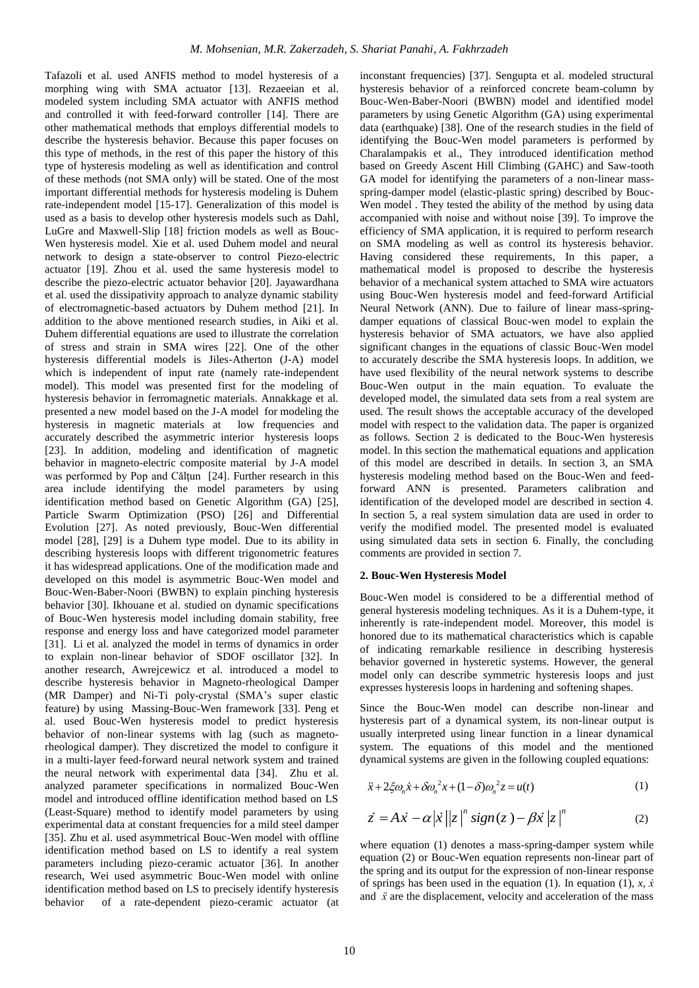Tafazoli et al. used ANFIS method to model hysteresis of a morphing wing with SMA actuator [13]. Rezaeeian et al. modeled system including SMA actuator with ANFIS method and controlled it with feed-forward controller [14]. There are other mathematical methods that employs differential models to describe the hysteresis behavior. Because this paper focuses on this type of methods, in the rest of this paper the history of this type of hysteresis modeling as well as identification and control of these methods (not SMA only) will be stated. One of the most important differential methods for hysteresis modeling is Duhem rate-independent model [15-17]. Generalization of this model is used as a basis to develop other hysteresis models such as Dahl, LuGre and Maxwell-Slip [18] friction models as well as Bouc-Wen hysteresis model. Xie et al. used Duhem model and neural network to design a state-observer to control Piezo-electric actuator [19]. Zhou et al. used the same hysteresis model to describe the piezo-electric actuator behavior [20]. Jayawardhana et al. used the dissipativity approach to analyze dynamic stability of electromagnetic-based actuators by Duhem method [21]. In addition to the above mentioned research studies, in Aiki et al. Duhem differential equations are used to illustrate the correlation of stress and strain in SMA wires [22]. One of the other hysteresis differential models is Jiles-Atherton (J-A) model which is independent of input rate (namely rate-independent model). This model was presented first for the modeling of hysteresis behavior in ferromagnetic materials. Annakkage et al. presented a new model based on the J-A model for modeling the hysteresis in magnetic materials at low frequencies and accurately described the asymmetric interior hysteresis loops [23]. In addition, modeling and identification of magnetic behavior in magneto-electric composite material by J-A model was performed by Pop and Călțun [24]. Further research in this area include identifying the model parameters by using identification method based on Genetic Algorithm (GA) [25], Particle Swarm Optimization (PSO) [26] and Differential Evolution [27]. As noted previously, Bouc-Wen differential model [28], [29] is a Duhem type model. Due to its ability in describing hysteresis loops with different trigonometric features it has widespread applications. One of the modification made and developed on this model is asymmetric Bouc-Wen model and Bouc-Wen-Baber-Noori (BWBN) to explain pinching hysteresis behavior [30]. Ikhouane et al. studied on dynamic specifications of Bouc-Wen hysteresis model including domain stability, free response and energy loss and have categorized model parameter [31]. Li et al. analyzed the model in terms of dynamics in order to explain non-linear behavior of SDOF oscillator [32]. In another research, Awrejcewicz et al. introduced a model to describe hysteresis behavior in Magneto-rheological Damper (MR Damper) and Ni-Ti poly-crystal (SMA's super elastic feature) by using Massing-Bouc-Wen framework [33]. Peng et al. used Bouc-Wen hysteresis model to predict hysteresis behavior of non-linear systems with lag (such as magnetorheological damper). They discretized the model to configure it in a multi-layer feed-forward neural network system and trained the neural network with experimental data [34]. Zhu et al. analyzed parameter specifications in normalized Bouc-Wen model and introduced offline identification method based on LS (Least-Square) method to identify model parameters by using experimental data at constant frequencies for a mild steel damper [35]. Zhu et al. used asymmetrical Bouc-Wen model with offline identification method based on LS to identify a real system parameters including piezo-ceramic actuator [36]. In another research, Wei used asymmetric Bouc-Wen model with online identification method based on LS to precisely identify hysteresis behavior of a rate-dependent piezo-ceramic actuator (at

inconstant frequencies) [37]. Sengupta et al. modeled structural hysteresis behavior of a reinforced concrete beam-column by Bouc-Wen-Baber-Noori (BWBN) model and identified model parameters by using Genetic Algorithm (GA) using experimental data (earthquake) [38]. One of the research studies in the field of identifying the Bouc-Wen model parameters is performed by Charalampakis et al., They introduced identification method based on Greedy Ascent Hill Climbing (GAHC) and Saw-tooth GA model for identifying the parameters of a non-linear massspring-damper model (elastic-plastic spring) described by Bouc-Wen model . They tested the ability of the method by using data accompanied with noise and without noise [39]. To improve the efficiency of SMA application, it is required to perform research on SMA modeling as well as control its hysteresis behavior. Having considered these requirements, In this paper, a mathematical model is proposed to describe the hysteresis behavior of a mechanical system attached to SMA wire actuators using Bouc-Wen hysteresis model and feed-forward Artificial Neural Network (ANN). Due to failure of linear mass-springdamper equations of classical Bouc-wen model to explain the hysteresis behavior of SMA actuators, we have also applied significant changes in the equations of classic Bouc-Wen model to accurately describe the SMA hysteresis loops. In addition, we have used flexibility of the neural network systems to describe Bouc-Wen output in the main equation. To evaluate the developed model, the simulated data sets from a real system are used. The result shows the acceptable accuracy of the developed model with respect to the validation data. The paper is organized as follows. Section 2 is dedicated to the Bouc-Wen hysteresis model. In this section the mathematical equations and application of this model are described in details. In section 3, an SMA hysteresis modeling method based on the Bouc-Wen and feedforward ANN is presented. Parameters calibration and identification of the developed model are described in section 4. In section 5, a real system simulation data are used in order to verify the modified model. The presented model is evaluated using simulated data sets in section 6. Finally, the concluding comments are provided in section 7.

### **2. Bouc-Wen Hysteresis Model**

Bouc-Wen model is considered to be a differential method of general hysteresis modeling techniques. As it is a Duhem-type, it inherently is rate-independent model. Moreover, this model is honored due to its mathematical characteristics which is capable of indicating remarkable resilience in describing hysteresis behavior governed in hysteretic systems. However, the general model only can describe symmetric hysteresis loops and just expresses hysteresis loops in hardening and softening shapes.

Since the Bouc-Wen model can describe non-linear and hysteresis part of a dynamical system, its non-linear output is usually interpreted using linear function in a linear dynamical system. The equations of this model and the mentioned dynamical systems are given in the following coupled equations:

$$
\ddot{x} + 2\xi \omega_n \dot{x} + \delta \omega_n^2 x + (1 - \delta) \omega_n^2 z = u(t)
$$
 (1)

$$
\dot{z} = A\dot{x} - \alpha |\dot{x}| |z|^n \text{sign}(z) - \beta \dot{x} |z|^n \tag{2}
$$

where equation (1) denotes a mass-spring-damper system while equation (2) or Bouc-Wen equation represents non-linear part of the spring and its output for the expression of non-linear response of springs has been used in the equation (1). In equation (1),  $x, x$ and  $\vec{x}$  are the displacement, velocity and acceleration of the mass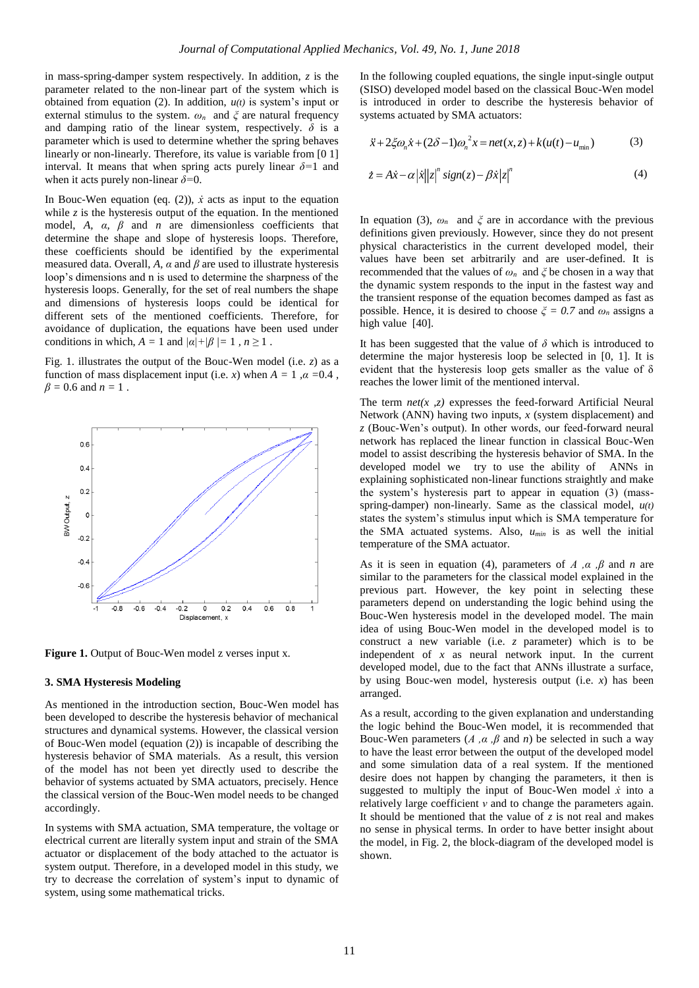in mass-spring-damper system respectively. In addition, *z* is the parameter related to the non-linear part of the system which is obtained from equation (2). In addition, *u(t)* is system's input or external stimulus to the system.  $\omega_n$  and  $\zeta$  are natural frequency and damping ratio of the linear system, respectively.  $\delta$  is a parameter which is used to determine whether the spring behaves linearly or non-linearly. Therefore, its value is variable from [0 1] interval. It means that when spring acts purely linear  $\delta = 1$  and when it acts purely non-linear *δ=*0.

In Bouc-Wen equation (eq.  $(2)$ ),  $\dot{x}$  acts as input to the equation while  $\zeta$  is the hysteresis output of the equation. In the mentioned model,  $A$ ,  $\alpha$ ,  $\beta$  and  $n$  are dimensionless coefficients that determine the shape and slope of hysteresis loops. Therefore, these coefficients should be identified by the experimental measured data. Overall, *A*,  $\alpha$  and  $\beta$  are used to illustrate hysteresis loop's dimensions and n is used to determine the sharpness of the hysteresis loops. Generally, for the set of real numbers the shape and dimensions of hysteresis loops could be identical for different sets of the mentioned coefficients. Therefore, for avoidance of duplication, the equations have been used under conditions in which,  $A = 1$  and  $|a| + |b| = 1$ ,  $n \ge 1$ .

Fig. 1. illustrates the output of the Bouc-Wen model (i.e. *z*) as a function of mass displacement input (i.e. *x*) when  $A = 1$ ,  $\alpha = 0.4$ , *β =* 0.6 and *n =* 1 .



Figure 1. Output of Bouc-Wen model z verses input x.

#### **3. SMA Hysteresis Modeling**

As mentioned in the introduction section, Bouc-Wen model has been developed to describe the hysteresis behavior of mechanical structures and dynamical systems. However, the classical version of Bouc-Wen model (equation (2)) is incapable of describing the hysteresis behavior of SMA materials. As a result, this version of the model has not been yet directly used to describe the behavior of systems actuated by SMA actuators, precisely. Hence the classical version of the Bouc-Wen model needs to be changed accordingly.

In systems with SMA actuation, SMA temperature, the voltage or electrical current are literally system input and strain of the SMA actuator or displacement of the body attached to the actuator is system output. Therefore, in a developed model in this study, we try to decrease the correlation of system's input to dynamic of system, using some mathematical tricks.

In the following coupled equations, the single input-single output (SISO) developed model based on the classical Bouc-Wen model is introduced in order to describe the hysteresis behavior of systems actuated by SMA actuators:

$$
\ddot{x} + 2\xi\omega_n \dot{x} + (2\delta - 1)\omega_n^2 x = net(x, z) + k(u(t) - u_{min})
$$
 (3)

$$
\dot{z} = A\dot{x} - \alpha |x||z|^{n} sign(z) - \beta \dot{x} |z|^{n}
$$
 (4)

In equation (3),  $\omega_n$  and  $\xi$  are in accordance with the previous definitions given previously. However, since they do not present physical characteristics in the current developed model, their values have been set arbitrarily and are user-defined. It is recommended that the values of *ωn* and *ξ* be chosen in a way that the dynamic system responds to the input in the fastest way and the transient response of the equation becomes damped as fast as possible. Hence, it is desired to choose  $\zeta = 0.7$  and  $\omega_n$  assigns a high value [40].

It has been suggested that the value of  $\delta$  which is introduced to determine the major hysteresis loop be selected in [0, 1]. It is evident that the hysteresis loop gets smaller as the value of  $\delta$ reaches the lower limit of the mentioned interval.

The term *net(x ,z)* expresses the feed-forward Artificial Neural Network (ANN) having two inputs, *x* (system displacement) and *z* (Bouc-Wen's output). In other words, our feed-forward neural network has replaced the linear function in classical Bouc-Wen model to assist describing the hysteresis behavior of SMA. In the developed model we try to use the ability of ANNs in explaining sophisticated non-linear functions straightly and make the system's hysteresis part to appear in equation (3) (massspring-damper) non-linearly. Same as the classical model, *u(t)* states the system's stimulus input which is SMA temperature for the SMA actuated systems. Also, *umin* is as well the initial temperature of the SMA actuator.

As it is seen in equation (4), parameters of *A ,α ,β* and *n* are similar to the parameters for the classical model explained in the previous part. However, the key point in selecting these parameters depend on understanding the logic behind using the Bouc-Wen hysteresis model in the developed model. The main idea of using Bouc-Wen model in the developed model is to construct a new variable (i.e. *z* parameter) which is to be independent of *x* as neural network input. In the current developed model, due to the fact that ANNs illustrate a surface, by using Bouc-wen model, hysteresis output (i.e. *x*) has been arranged.

As a result, according to the given explanation and understanding the logic behind the Bouc-Wen model, it is recommended that Bouc-Wen parameters  $(A, \alpha, \beta \text{ and } n)$  be selected in such a way to have the least error between the output of the developed model and some simulation data of a real system. If the mentioned desire does not happen by changing the parameters, it then is suggested to multiply the input of Bouc-Wen model  $\dot{x}$  into a relatively large coefficient *ν* and to change the parameters again. It should be mentioned that the value of *z* is not real and makes no sense in physical terms. In order to have better insight about the model, in Fig. 2, the block-diagram of the developed model is shown.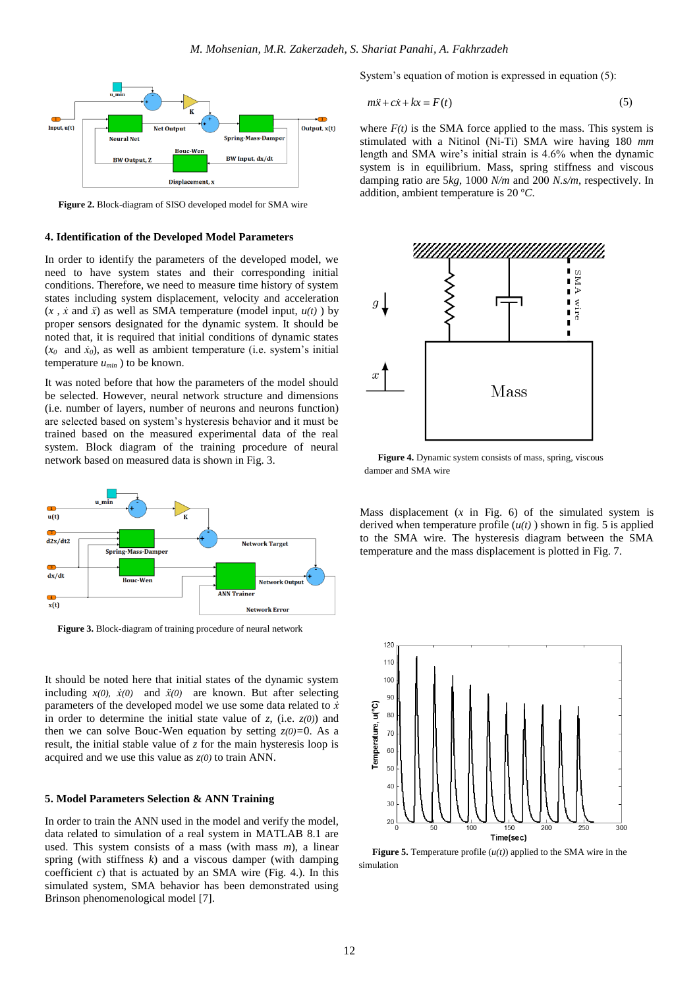

**Figure 2.** Block-diagram of SISO developed model for SMA wire

# **4. Identification of the Developed Model Parameters**

In order to identify the parameters of the developed model, we need to have system states and their corresponding initial conditions. Therefore, we need to measure time history of system states including system displacement, velocity and acceleration  $(x, \dot{x} \text{ and } \ddot{x})$  as well as SMA temperature (model input,  $u(t)$ ) by proper sensors designated for the dynamic system. It should be noted that, it is required that initial conditions of dynamic states  $(x_0$  and  $\dot{x}_0$ ), as well as ambient temperature (i.e. system's initial temperature  $u_{min}$ ) to be known.

It was noted before that how the parameters of the model should be selected. However, neural network structure and dimensions (i.e. number of layers, number of neurons and neurons function) are selected based on system's hysteresis behavior and it must be trained based on the measured experimental data of the real system. Block diagram of the training procedure of neural network based on measured data is shown in Fig. 3.



**Figure 3.** Block-diagram of training procedure of neural network

It should be noted here that initial states of the dynamic system including  $x(0)$ ,  $\dot{x}(0)$  and  $\ddot{x}(0)$  are known. But after selecting parameters of the developed model we use some data related to  $\vec{x}$ in order to determine the initial state value of  $z$ , (i.e.  $z(0)$ ) and then we can solve Bouc-Wen equation by setting *z(0)=*0. As a result, the initial stable value of *z* for the main hysteresis loop is acquired and we use this value as *z(0)* to train ANN.

#### **5. Model Parameters Selection & ANN Training**

In order to train the ANN used in the model and verify the model, data related to simulation of a real system in MATLAB 8.1 are used. This system consists of a mass (with mass *m*), a linear spring (with stiffness *k*) and a viscous damper (with damping coefficient  $c$ ) that is actuated by an SMA wire (Fig. 4.). In this simulated system, SMA behavior has been demonstrated using Brinson phenomenological model [7].

System's equation of motion is expressed in equation (5):

$$
m\ddot{x} + c\dot{x} + kx = F(t) \tag{5}
$$

where  $F(t)$  is the SMA force applied to the mass. This system is stimulated with a Nitinol (Ni-Ti) SMA wire having 180 *mm* length and SMA wire's initial strain is 4.6% when the dynamic system is in equilibrium. Mass, spring stiffness and viscous damping ratio are 5*kg*, 1000 *N/m* and 200 *N.s/m*, respectively. In addition, ambient temperature is 20 º*C*.



**Figure 4.** Dynamic system consists of mass, spring, viscous damper and SMA wire

Mass displacement  $(x \text{ in Fig. 6})$  of the simulated system is derived when temperature profile  $(u(t))$  shown in fig. 5 is applied to the SMA wire. The hysteresis diagram between the SMA temperature and the mass displacement is plotted in Fig. 7.



**Figure 5.** Temperature profile  $(u(t))$  applied to the SMA wire in the simulation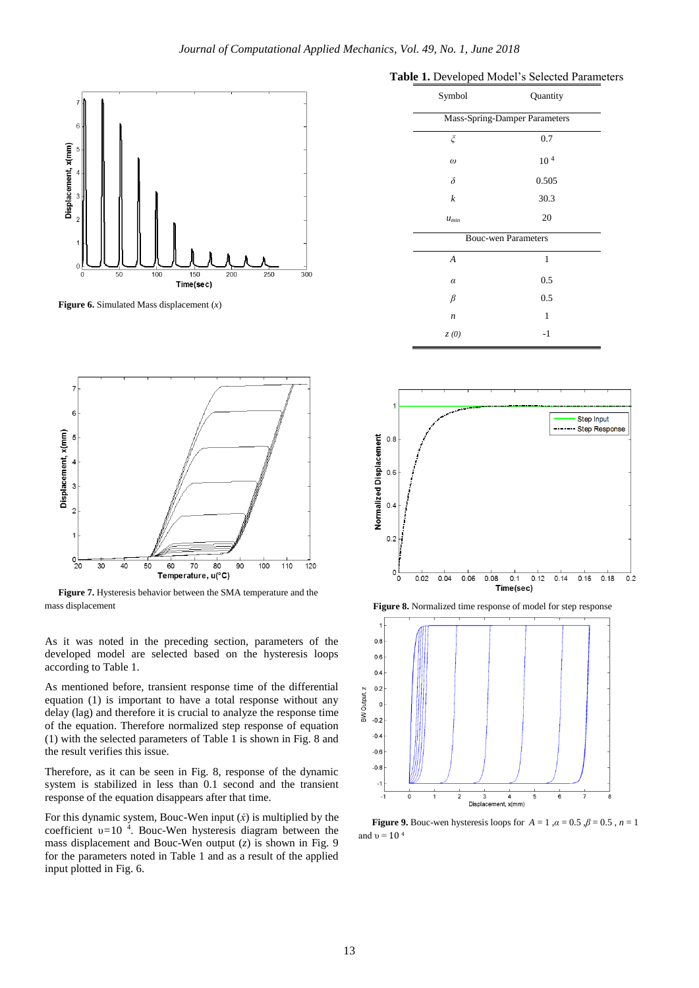

**Figure 6.** Simulated Mass displacement (*x*)



**Figure 7.** Hysteresis behavior between the SMA temperature and the mass displacement **Figure 8.** Normalized time response of model for step response

As it was noted in the preceding section, parameters of the developed model are selected based on the hysteresis loops according to Table 1.

As mentioned before, transient response time of the differential equation (1) is important to have a total response without any delay (lag) and therefore it is crucial to analyze the response time of the equation. Therefore normalized step response of equation (1) with the selected parameters of Table 1 is shown in Fig. 8 and the result verifies this issue.

Therefore, as it can be seen in Fig. 8, response of the dynamic system is stabilized in less than 0.1 second and the transient response of the equation disappears after that time.

For this dynamic system, Bouc-Wen input  $(x)$  is multiplied by the coefficient υ*=*10 <sup>4</sup> . Bouc-Wen hysteresis diagram between the mass displacement and Bouc-Wen output (*z*) is shown in Fig. 9 for the parameters noted in Table 1 and as a result of the applied input plotted in Fig. 6.

| Symbol                        | Quantity        |  |  |
|-------------------------------|-----------------|--|--|
| Mass-Spring-Damper Parameters |                 |  |  |
| ξ                             | 0.7             |  |  |
| $\omega$                      | 10 <sup>4</sup> |  |  |
| $\delta$                      | 0.505           |  |  |
| $\boldsymbol{k}$              | 30.3            |  |  |
| $u_{min}$                     | 20              |  |  |
| <b>Bouc-wen Parameters</b>    |                 |  |  |
| $\boldsymbol{A}$              | $\mathbf{1}$    |  |  |
| $\alpha$                      | 0.5             |  |  |
| β                             | 0.5             |  |  |
| $\boldsymbol{n}$              | 1               |  |  |
| z(0)                          | $-1$            |  |  |





**Figure 9.** Bouc-wen hysteresis loops for  $A = 1$ ,  $\alpha = 0.5$ ,  $\beta = 0.5$ ,  $n = 1$ and  $v = 10<sup>4</sup>$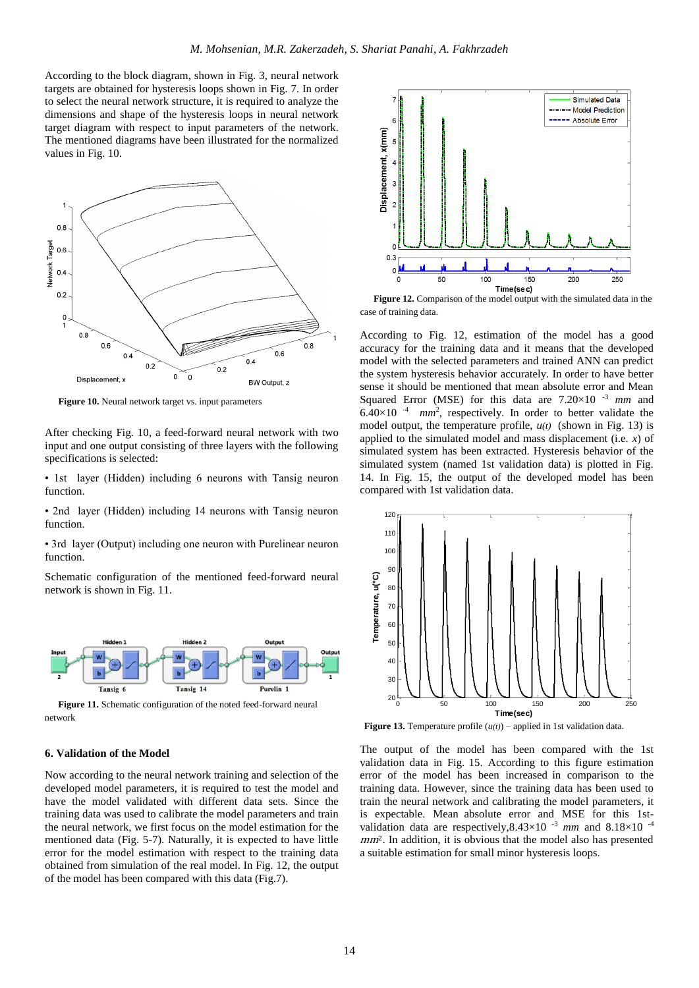According to the block diagram, shown in Fig. 3, neural network targets are obtained for hysteresis loops shown in Fig. 7. In order to select the neural network structure, it is required to analyze the dimensions and shape of the hysteresis loops in neural network target diagram with respect to input parameters of the network. The mentioned diagrams have been illustrated for the normalized values in Fig. 10.



**Figure 10.** Neural network target vs. input parameters

After checking Fig. 10, a feed-forward neural network with two input and one output consisting of three layers with the following specifications is selected:

• 1st layer (Hidden) including 6 neurons with Tansig neuron function.

• 2nd layer (Hidden) including 14 neurons with Tansig neuron function.

• 3rd layer (Output) including one neuron with Purelinear neuron function.

Schematic configuration of the mentioned feed-forward neural network is shown in Fig. 11.



Figure 11. Schematic configuration of the noted feed-forward neural network

#### **6. Validation of the Model**

Now according to the neural network training and selection of the developed model parameters, it is required to test the model and have the model validated with different data sets. Since the training data was used to calibrate the model parameters and train the neural network, we first focus on the model estimation for the mentioned data (Fig. 5-7). Naturally, it is expected to have little error for the model estimation with respect to the training data obtained from simulation of the real model. In Fig. 12, the output of the model has been compared with this data (Fig.7).



**Figure 12.** Comparison of the model output with the simulated data in the case of training data.

According to Fig. 12, estimation of the model has a good accuracy for the training data and it means that the developed model with the selected parameters and trained ANN can predict the system hysteresis behavior accurately. In order to have better sense it should be mentioned that mean absolute error and Mean Squared Error (MSE) for this data are 7.20×10 -3 *mm* and  $6.40\times10^{-4}$  mm<sup>2</sup>, respectively. In order to better validate the model output, the temperature profile,  $u(t)$  (shown in Fig. 13) is applied to the simulated model and mass displacement (i.e. *x*) of simulated system has been extracted. Hysteresis behavior of the simulated system (named 1st validation data) is plotted in Fig. 14. In Fig. 15, the output of the developed model has been compared with 1st validation data.



**Figure 13.** Temperature profile  $(u(t))$  – applied in 1st validation data.

The output of the model has been compared with the 1st validation data in Fig. 15. According to this figure estimation error of the model has been increased in comparison to the training data. However, since the training data has been used to train the neural network and calibrating the model parameters, it is expectable. Mean absolute error and MSE for this 1stvalidation data are respectively,8.43×10 -3 *mm* and 8.18×10 -4 mm<sup>2</sup>. In addition, it is obvious that the model also has presented a suitable estimation for small minor hysteresis loops.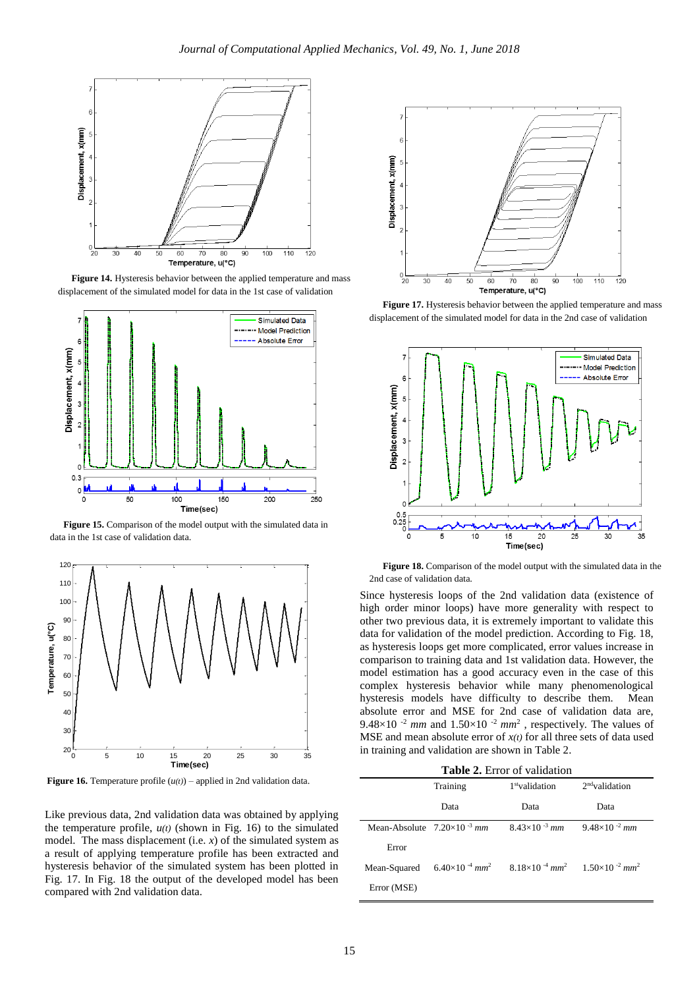

**Figure 14.** Hysteresis behavior between the applied temperature and mass displacement of the simulated model for data in the 1st case of validation



**Figure 15.** Comparison of the model output with the simulated data in data in the 1st case of validation data.



**Figure 16.** Temperature profile  $(u(t))$  – applied in 2nd validation data.

Like previous data, 2nd validation data was obtained by applying the temperature profile,  $u(t)$  (shown in Fig. 16) to the simulated model. The mass displacement (i.e. *x*) of the simulated system as a result of applying temperature profile has been extracted and hysteresis behavior of the simulated system has been plotted in Fig. 17. In Fig. 18 the output of the developed model has been compared with 2nd validation data.



**Figure 17.** Hysteresis behavior between the applied temperature and mass displacement of the simulated model for data in the 2nd case of validation



**Figure 18.** Comparison of the model output with the simulated data in the 2nd case of validation data.

Since hysteresis loops of the 2nd validation data (existence of high order minor loops) have more generality with respect to other two previous data, it is extremely important to validate this data for validation of the model prediction. According to Fig. 18, as hysteresis loops get more complicated, error values increase in comparison to training data and 1st validation data. However, the model estimation has a good accuracy even in the case of this complex hysteresis behavior while many phenomenological hysteresis models have difficulty to describe them. Mean absolute error and MSE for 2nd case of validation data are, 9.48 $\times$ 10<sup>-2</sup> *mm* and 1.50 $\times$ 10<sup>-2</sup> *mm*<sup>2</sup>, respectively. The values of MSE and mean absolute error of  $x(t)$  for all three sets of data used in training and validation are shown in Table 2.

|  |  | <b>Table 2.</b> Error of validation |
|--|--|-------------------------------------|
|--|--|-------------------------------------|

|                                      | Training                                                                                                    | 1 <sup>st</sup> validation | $2nd$ validation       |
|--------------------------------------|-------------------------------------------------------------------------------------------------------------|----------------------------|------------------------|
|                                      | Data                                                                                                        | Data                       | Data                   |
| Mean-Absolute $7.20\times10^{-3}$ mm |                                                                                                             | $8.43\times10^{-3}$ mm     | $9.48\times10^{-2}$ mm |
| Error                                |                                                                                                             |                            |                        |
| Mean-Squared                         | $6.40\times10^{-4}$ mm <sup>2</sup> $8.18\times10^{-4}$ mm <sup>2</sup> $1.50\times10^{-2}$ mm <sup>2</sup> |                            |                        |
| Error (MSE)                          |                                                                                                             |                            |                        |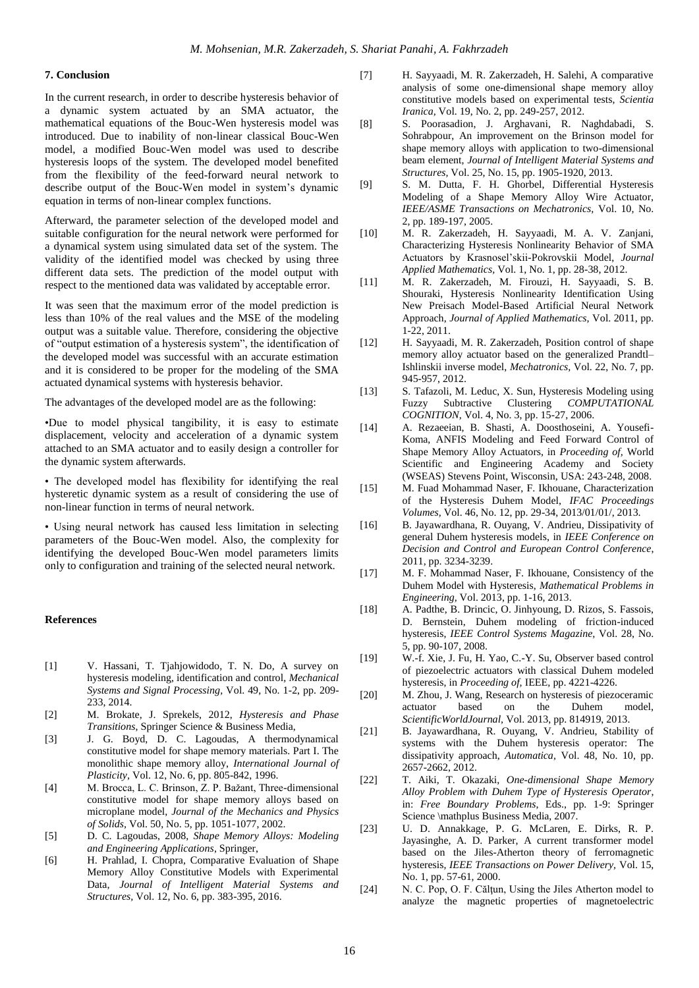# **7. Conclusion**

In the current research, in order to describe hysteresis behavior of a dynamic system actuated by an SMA actuator, the mathematical equations of the Bouc-Wen hysteresis model was introduced. Due to inability of non-linear classical Bouc-Wen model, a modified Bouc-Wen model was used to describe hysteresis loops of the system. The developed model benefited from the flexibility of the feed-forward neural network to describe output of the Bouc-Wen model in system's dynamic equation in terms of non-linear complex functions.

Afterward, the parameter selection of the developed model and suitable configuration for the neural network were performed for a dynamical system using simulated data set of the system. The validity of the identified model was checked by using three different data sets. The prediction of the model output with respect to the mentioned data was validated by acceptable error.

It was seen that the maximum error of the model prediction is less than 10% of the real values and the MSE of the modeling output was a suitable value. Therefore, considering the objective of "output estimation of a hysteresis system", the identification of the developed model was successful with an accurate estimation and it is considered to be proper for the modeling of the SMA actuated dynamical systems with hysteresis behavior.

The advantages of the developed model are as the following:

•Due to model physical tangibility, it is easy to estimate displacement, velocity and acceleration of a dynamic system attached to an SMA actuator and to easily design a controller for the dynamic system afterwards.

• The developed model has flexibility for identifying the real hysteretic dynamic system as a result of considering the use of non-linear function in terms of neural network.

• Using neural network has caused less limitation in selecting parameters of the Bouc-Wen model. Also, the complexity for identifying the developed Bouc-Wen model parameters limits only to configuration and training of the selected neural network.

#### **References**

- [1] V. Hassani, T. Tjahjowidodo, T. N. Do, A survey on hysteresis modeling, identification and control, *Mechanical Systems and Signal Processing,* Vol. 49, No. 1-2, pp. 209- 233, 2014.
- [2] M. Brokate, J. Sprekels, 2012, *Hysteresis and Phase Transitions*, Springer Science & Business Media,
- [3] J. G. Boyd, D. C. Lagoudas, A thermodynamical constitutive model for shape memory materials. Part I. The monolithic shape memory alloy, *International Journal of Plasticity,* Vol. 12, No. 6, pp. 805-842, 1996.
- [4] M. Brocca, L. C. Brinson, Z. P. Bažant, Three-dimensional constitutive model for shape memory alloys based on microplane model, *Journal of the Mechanics and Physics of Solids,* Vol. 50, No. 5, pp. 1051-1077, 2002.
- [5] D. C. Lagoudas, 2008, *Shape Memory Alloys: Modeling and Engineering Applications*, Springer,
- [6] H. Prahlad, I. Chopra, Comparative Evaluation of Shape Memory Alloy Constitutive Models with Experimental Data, *Journal of Intelligent Material Systems and Structures,* Vol. 12, No. 6, pp. 383-395, 2016.
- [7] H. Sayyaadi, M. R. Zakerzadeh, H. Salehi, A comparative analysis of some one-dimensional shape memory alloy constitutive models based on experimental tests, *Scientia Iranica,* Vol. 19, No. 2, pp. 249-257, 2012.
- [8] S. Poorasadion, J. Arghavani, R. Naghdabadi, S. Sohrabpour, An improvement on the Brinson model for shape memory alloys with application to two-dimensional beam element, *Journal of Intelligent Material Systems and Structures,* Vol. 25, No. 15, pp. 1905-1920, 2013.
- [9] S. M. Dutta, F. H. Ghorbel, Differential Hysteresis Modeling of a Shape Memory Alloy Wire Actuator, *IEEE/ASME Transactions on Mechatronics,* Vol. 10, No. 2, pp. 189-197, 2005.
- [10] M. R. Zakerzadeh, H. Sayyaadi, M. A. V. Zanjani, Characterizing Hysteresis Nonlinearity Behavior of SMA Actuators by Krasnosel'skii-Pokrovskii Model, *Journal Applied Mathematics,* Vol. 1, No. 1, pp. 28-38, 2012.
- [11] M. R. Zakerzadeh, M. Firouzi, H. Sayyaadi, S. B. Shouraki, Hysteresis Nonlinearity Identification Using New Preisach Model-Based Artificial Neural Network Approach, *Journal of Applied Mathematics,* Vol. 2011, pp. 1-22, 2011.
- [12] H. Sayyaadi, M. R. Zakerzadeh, Position control of shape memory alloy actuator based on the generalized Prandtl– Ishlinskii inverse model, *Mechatronics,* Vol. 22, No. 7, pp. 945-957, 2012.
- [13] S. Tafazoli, M. Leduc, X. Sun, Hysteresis Modeling using Fuzzy Subtractive Clustering *COMPUTATIONAL COGNITION,* Vol. 4, No. 3, pp. 15-27, 2006.
- [14] A. Rezaeeian, B. Shasti, A. Doosthoseini, A. Yousefi-Koma, ANFIS Modeling and Feed Forward Control of Shape Memory Alloy Actuators, in *Proceeding of,* World Scientific and Engineering Academy and Society (WSEAS) Stevens Point, Wisconsin, USA: 243-248, 2008.
- [15] M. Fuad Mohammad Naser, F. Ikhouane, Characterization of the Hysteresis Duhem Model, *IFAC Proceedings Volumes,* Vol. 46, No. 12, pp. 29-34, 2013/01/01/, 2013.
- [16] B. Jayawardhana, R. Ouyang, V. Andrieu, Dissipativity of general Duhem hysteresis models, in *IEEE Conference on Decision and Control and European Control Conference*, 2011, pp. 3234-3239.
- [17] M. F. Mohammad Naser, F. Ikhouane, Consistency of the Duhem Model with Hysteresis, *Mathematical Problems in Engineering,* Vol. 2013, pp. 1-16, 2013.
- [18] A. Padthe, B. Drincic, O. Jinhyoung, D. Rizos, S. Fassois, D. Bernstein, Duhem modeling of friction-induced hysteresis, *IEEE Control Systems Magazine,* Vol. 28, No. 5, pp. 90-107, 2008.
- [19] W.-f. Xie, J. Fu, H. Yao, C.-Y. Su, Observer based control of piezoelectric actuators with classical Duhem modeled hysteresis, in *Proceeding of,* IEEE*,* pp. 4221-4226.
- [20] M. Zhou, J. Wang, Research on hysteresis of piezoceramic actuator based on the Duhem model, *ScientificWorldJournal,* Vol. 2013, pp. 814919, 2013.
- [21] B. Jayawardhana, R. Ouyang, V. Andrieu, Stability of systems with the Duhem hysteresis operator: The dissipativity approach, *Automatica,* Vol. 48, No. 10, pp. 2657-2662, 2012.
- [22] T. Aiki, T. Okazaki, *One-dimensional Shape Memory Alloy Problem with Duhem Type of Hysteresis Operator*, in: *Free Boundary Problems*, Eds., pp. 1-9: Springer Science \mathplus Business Media, 2007.
- [23] U. D. Annakkage, P. G. McLaren, E. Dirks, R. P. Jayasinghe, A. D. Parker, A current transformer model based on the Jiles-Atherton theory of ferromagnetic hysteresis, *IEEE Transactions on Power Delivery,* Vol. 15, No. 1, pp. 57-61, 2000.
- [24] N. C. Pop, O. F. Călțun, Using the Jiles Atherton model to analyze the magnetic properties of magnetoelectric